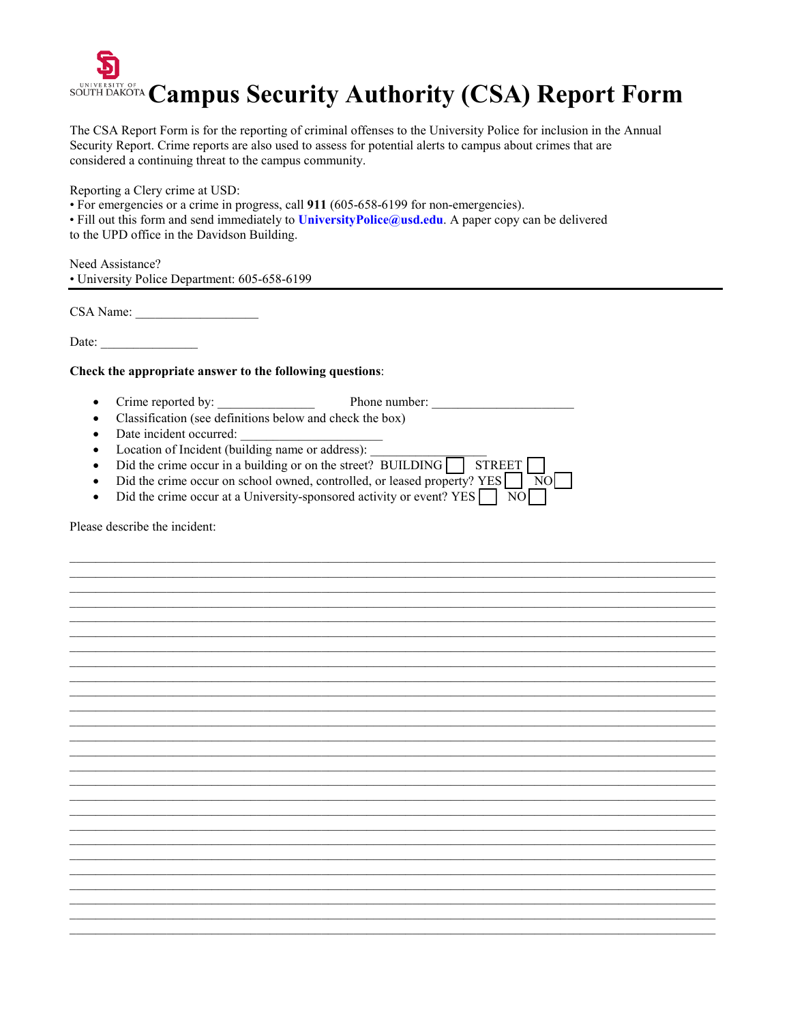## £ SOUTH DAKOTA Campus Security Authority (CSA) Report Form

The CSA Report Form is for the reporting of criminal offenses to the University Police for inclusion in the Annual Security Report. Crime reports are also used to assess for potential alerts to campus about crimes that are considered a continuing threat to the campus community.

Reporting a Clery crime at USD:

• For emergencies or a crime in progress, call 911 (605-658-6199 for non-emergencies).

• Fill out this form and send immediately to University Police@usd.edu. A paper copy can be delivered to the UPD office in the Davidson Building.

Need Assistance? • University Police Department: 605-658-6199

CSA Name:

Date:

Check the appropriate answer to the following questions:

- Crime reported by: Phone number:  $\bullet$
- Classification (see definitions below and check the box)  $\bullet$
- Date incident occurred:  $\bullet$
- Location of Incident (building name or address):  $\bullet$
- Did the crime occur in a building or on the street? BUILDING  $\Box$  STREET  $\bullet$
- Did the crime occur on school owned, controlled, or leased property? YES | NO.
- Did the crime occur at a University-sponsored activity or event? YES  $\Box$  NO  $\bullet$

Please describe the incident: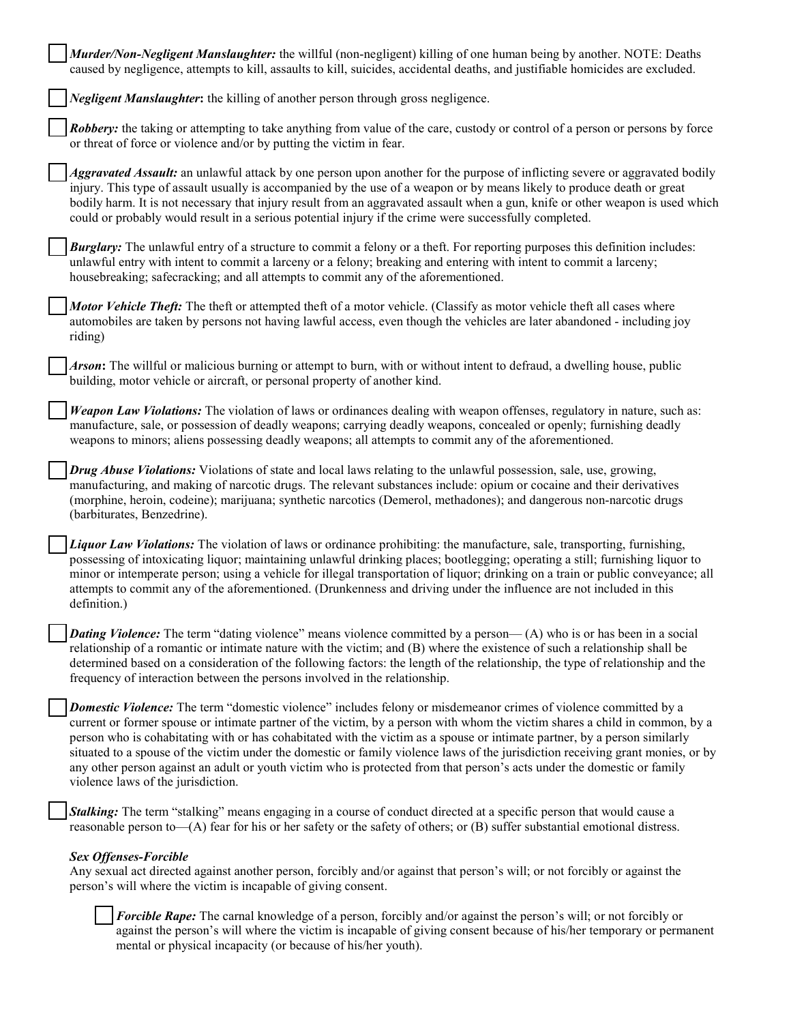*Murder/Non-Negligent Manslaughter:* the willful (non-negligent) killing of one human being by another. NOTE: Deaths caused by negligence, attempts to kill, assaults to kill, suicides, accidental deaths, and justifiable homicides are excluded.

*Negligent Manslaughter***:** the killing of another person through gross negligence.

*Robbery:* the taking or attempting to take anything from value of the care, custody or control of a person or persons by force or threat of force or violence and/or by putting the victim in fear.

*Aggravated Assault:* an unlawful attack by one person upon another for the purpose of inflicting severe or aggravated bodily injury. This type of assault usually is accompanied by the use of a weapon or by means likely to produce death or great bodily harm. It is not necessary that injury result from an aggravated assault when a gun, knife or other weapon is used which could or probably would result in a serious potential injury if the crime were successfully completed.

*Burglary:* The unlawful entry of a structure to commit a felony or a theft. For reporting purposes this definition includes: unlawful entry with intent to commit a larceny or a felony; breaking and entering with intent to commit a larceny; housebreaking; safecracking; and all attempts to commit any of the aforementioned.

*Motor Vehicle Theft:* The theft or attempted theft of a motor vehicle. (Classify as motor vehicle theft all cases where automobiles are taken by persons not having lawful access, even though the vehicles are later abandoned - including joy riding)

*Arson***:** The willful or malicious burning or attempt to burn, with or without intent to defraud, a dwelling house, public building, motor vehicle or aircraft, or personal property of another kind.

*Weapon Law Violations:* The violation of laws or ordinances dealing with weapon offenses, regulatory in nature, such as: manufacture, sale, or possession of deadly weapons; carrying deadly weapons, concealed or openly; furnishing deadly weapons to minors; aliens possessing deadly weapons; all attempts to commit any of the aforementioned.

*Drug Abuse Violations:* Violations of state and local laws relating to the unlawful possession, sale, use, growing, manufacturing, and making of narcotic drugs. The relevant substances include: opium or cocaine and their derivatives (morphine, heroin, codeine); marijuana; synthetic narcotics (Demerol, methadones); and dangerous non-narcotic drugs (barbiturates, Benzedrine).

*Liquor Law Violations:* The violation of laws or ordinance prohibiting: the manufacture, sale, transporting, furnishing, possessing of intoxicating liquor; maintaining unlawful drinking places; bootlegging; operating a still; furnishing liquor to minor or intemperate person; using a vehicle for illegal transportation of liquor; drinking on a train or public conveyance; all attempts to commit any of the aforementioned. (Drunkenness and driving under the influence are not included in this definition.)

*Dating Violence:* The term "dating violence" means violence committed by a person— (A) who is or has been in a social relationship of a romantic or intimate nature with the victim; and (B) where the existence of such a relationship shall be determined based on a consideration of the following factors: the length of the relationship, the type of relationship and the frequency of interaction between the persons involved in the relationship.

*Domestic Violence:* The term "domestic violence" includes felony or misdemeanor crimes of violence committed by a current or former spouse or intimate partner of the victim, by a person with whom the victim shares a child in common, by a person who is cohabitating with or has cohabitated with the victim as a spouse or intimate partner, by a person similarly situated to a spouse of the victim under the domestic or family violence laws of the jurisdiction receiving grant monies, or by any other person against an adult or youth victim who is protected from that person's acts under the domestic or family violence laws of the jurisdiction.

*Stalking:* The term "stalking" means engaging in a course of conduct directed at a specific person that would cause a reasonable person to—(A) fear for his or her safety or the safety of others; or (B) suffer substantial emotional distress.

## *Sex Offenses-Forcible*

Any sexual act directed against another person, forcibly and/or against that person's will; or not forcibly or against the person's will where the victim is incapable of giving consent.

*Forcible Rape:* The carnal knowledge of a person, forcibly and/or against the person's will; or not forcibly or against the person's will where the victim is incapable of giving consent because of his/her temporary or permanent mental or physical incapacity (or because of his/her youth).